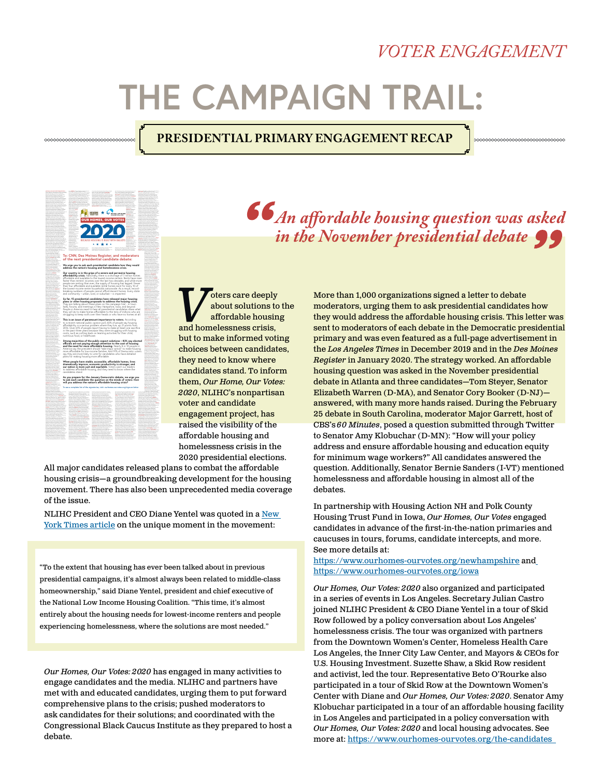## *VOTER ENGAGEMENT*

# **THE CAMPAIGN TRAIL:**

## **PRESIDENTIAL PRIMARY ENGAGEMENT RECAP**



*An affordable housing question was asked in the November presidential debate* 

**V**oters care deeply<br>about solutions to<br>affordable housin<br>and homelessness crisis, about solutions to the affordable housing but to make informed voting choices between candidates, they need to know where candidates stand. To inform them, *Our Home, Our Votes: 2020*, NLIHC's nonpartisan voter and candidate engagement project, has raised the visibility of the affordable housing and homelessness crisis in the 2020 presidential elections.

All major candidates released plans to combat the affordable housing crisis—a groundbreaking development for the housing movement. There has also been unprecedented media coverage of the issue.

NLIHC President and CEO Diane Yentel was quoted in a New [York Times article](https://www.nytimes.com/2020/03/03/us/politics/housing-homelessness-2020-democrats.html) on the unique moment in the movement:

"To the extent that housing has ever been talked about in previous presidential campaigns, it's almost always been related to middle-class homeownership," said Diane Yentel, president and chief executive of the National Low Income Housing Coalition. "This time, it's almost [entirely about the housing needs for lowest-income renters and people](https://www.nytimes.com/2020/03/03/us/politics/housing-homelessness-2020-democrats.html)  experiencing homelessness, where the solutions are most needed."

*Our Homes, Our Votes: 2020* has engaged in many activities to engage candidates and the media. NLIHC and partners have met with and educated candidates, urging them to put forward comprehensive plans to the crisis; pushed moderators to ask candidates for their solutions; and coordinated with the Congressional Black Caucus Institute as they prepared to host a debate.

More than 1,000 organizations signed a letter to debate moderators, urging them to ask presidential candidates how they would address the affordable housing crisis. This letter was sent to moderators of each debate in the Democratic presidential primary and was even featured as a full-page advertisement in the *Los Angeles Times* in December 2019 and in the *Des Moines Register* in January 2020. The strategy worked. An affordable housing question was asked in the November presidential debate in Atlanta and three candidates—Tom Steyer, Senator Elizabeth Warren (D-MA), and Senator Cory Booker (D-NJ) answered, with many more hands raised. During the February 25 debate in South Carolina, moderator Major Garrett, host of CBS's *60 Minutes*, posed a question submitted through Twitter to Senator Amy Klobuchar (D-MN): "How will your policy address and ensure affordable housing and education equity for minimum wage workers?" All candidates answered the question. Additionally, Senator Bernie Sanders (I-VT) mentioned homelessness and affordable housing in almost all of the debates.

In partnership with Housing Action NH and Polk County Housing Trust Fund in Iowa, *Our Homes, Our Votes* engaged candidates in advance of the first-in-the-nation primaries and caucuses in tours, forums, candidate intercepts, and more. See more details at:

<https://www.ourhomes-ourvotes.org/newhampshire> an[d](https://www.ourhomes-ourvotes.org/iowa) <https://www.ourhomes-ourvotes.org/iowa>

*Our Homes, Our Votes: 2020* also organized and participated in a series of events in Los Angeles. Secretary Julian Castro joined NLIHC President & CEO Diane Yentel in a tour of Skid Row followed by a policy conversation about Los Angeles' homelessness crisis. The tour was organized with partners from the Downtown Women's Center, Homeless Health Care Los Angeles, the Inner City Law Center, and Mayors & CEOs for U.S. Housing Investment. Suzette Shaw, a Skid Row resident and activist, led the tour. Representative Beto O'Rourke also participated in a tour of Skid Row at the Downtown Women's Center with Diane and *Our Homes, Our Votes: 2020*. Senator Amy Klobuchar participated in a tour of an affordable housing facility in Los Angeles and participated in a policy conversation with *Our Homes, Our Votes: 2020* and local housing advocates. See more at:<https://www.ourhomes-ourvotes.org/the-candidates>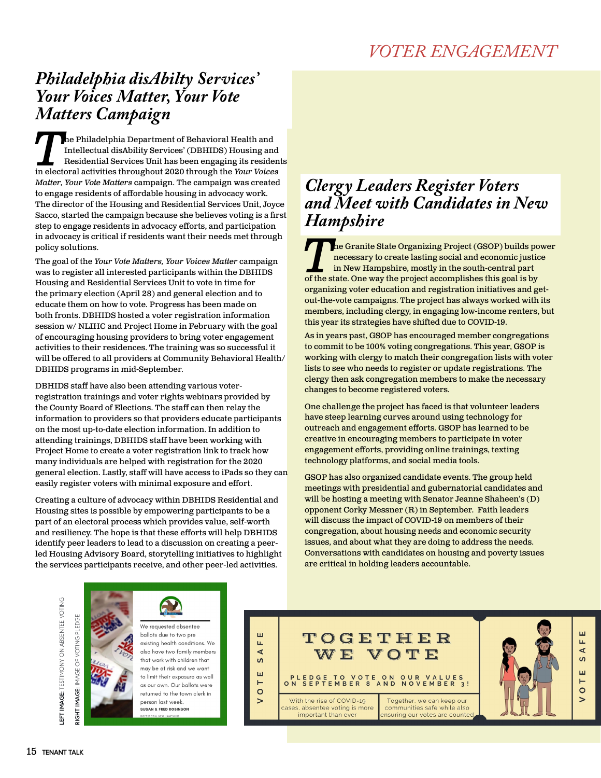## *Philadelphia disAbilty Services' Your Voices Matter, Your Vote Matters Campaign*

**The Philadelphia Department of Behavioral Health and Intellectual disAbility Services' (DBHIDS) Housing and Residential Services Unit has been engaging its residen in electoral activities throughout 2020 through the** *Your* Intellectual disAbility Services' (DBHIDS) Housing and Residential Services Unit has been engaging its residents *Matter, Your Vote Matters* campaign. The campaign was created to engage residents of affordable housing in advocacy work. The director of the Housing and Residential Services Unit, Joyce Sacco, started the campaign because she believes voting is a first step to engage residents in advocacy efforts, and participation in advocacy is critical if residents want their needs met through policy solutions.

The goal of the *Your Vote Matters, Your Voices Matter* campaign was to register all interested participants within the DBHIDS Housing and Residential Services Unit to vote in time for the primary election (April 28) and general election and to educate them on how to vote. Progress has been made on both fronts. DBHIDS hosted a voter registration information session w/ NLIHC and Project Home in February with the goal of encouraging housing providers to bring voter engagement activities to their residences. The training was so successful it will be offered to all providers at Community Behavioral Health/ DBHIDS programs in mid-September.

DBHIDS staff have also been attending various voterregistration trainings and voter rights webinars provided by the County Board of Elections. The staff can then relay the information to providers so that providers educate participants on the most up-to-date election information. In addition to attending trainings, DBHIDS staff have been working with Project Home to create a voter registration link to track how many individuals are helped with registration for the 2020 general election. Lastly, staff will have access to iPads so they can easily register voters with minimal exposure and effort.

Creating a culture of advocacy within DBHIDS Residential and Housing sites is possible by empowering participants to be a part of an electoral process which provides value, self-worth and resiliency. The hope is that these efforts will help DBHIDS identify peer leaders to lead to a discussion on creating a peerled Housing Advisory Board, storytelling initiatives to highlight the services participants receive, and other peer-led activities.

## *Clergy Leaders Register Voters and Meet with Candidates in New Hampshire*

**The Granite State Organizing Project (GSOP) builds power** necessary to create lasting social and economic justice in New Hampshire, mostly in the south-central part of the state. One way the project accomplishes this goal is by organizing voter education and registration initiatives and getout-the-vote campaigns. The project has always worked with its members, including clergy, in engaging low-income renters, but this year its strategies have shifted due to COVID-19.

As in years past, GSOP has encouraged member congregations to commit to be 100% voting congregations. This year, GSOP is working with clergy to match their congregation lists with voter lists to see who needs to register or update registrations. The clergy then ask congregation members to make the necessary changes to become registered voters.

One challenge the project has faced is that volunteer leaders have steep learning curves around using technology for outreach and engagement efforts. GSOP has learned to be creative in encouraging members to participate in voter engagement efforts, providing online trainings, texting technology platforms, and social media tools.

GSOP has also organized candidate events. The group held meetings with presidential and gubernatorial candidates and will be hosting a meeting with Senator Jeanne Shaheen's (D) opponent Corky Messner (R) in September. Faith leaders will discuss the impact of COVID-19 on members of their congregation, about housing needs and economic security issues, and about what they are doing to address the needs. Conversations with candidates on housing and poverty issues are critical in holding leaders accountable.

EFT IMAGE: TESTIMONY ON ABSENTEE VOTING **LEFT IMAGE:** TESTIMONY ON ABSENTEE VOTING GHT IMAGE: IMAGE OF VOTING PLEDGE **RIGHT IMAGE:** IMAGE OF VOTING PLEDGE



We reauested absentee ballots due to two pre existing health conditions. We also have two family members that work with children that may be at risk and we want to limit their exposure as well as our own. Our ballots were returned to the town clerk in person last week. **SUSAN & FRED ROBINSON** 

ш TOGETHER щ ∫<br>S  $\mathbf{W}\mathbf{E}$  . VOTE ш PLEDGE TO VOTE ON OUR VALUES<br>N SEPTEMBER 8 AND NOVEMBER 3! H  $\circ$ With the rise of COVID-19 Together, we can keep our ases, absentee voting is more communities safe while also important than ever ensuring our votes are counted

ш

A F

<u>ທ</u>

ш

H

 $\circ$ 

 $\geq$